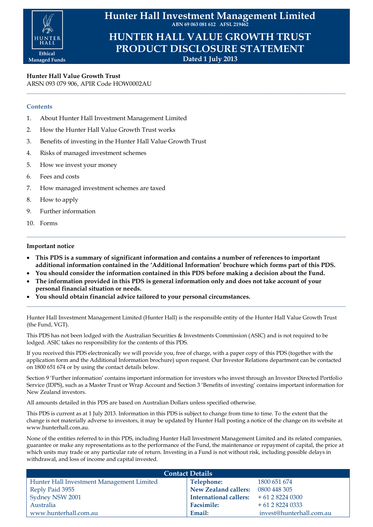

**Hunter Hall Investment Management Limited ABN 69 063 081 612 AFSL 219462**

**HUNTER HALL VALUE GROWTH TRUST PRODUCT DISCLOSURE STATEMENT Dated 1 July 2013**

**\_\_\_\_\_\_\_\_\_\_\_\_\_\_\_\_\_\_\_\_\_\_\_\_\_\_\_\_\_\_\_\_\_\_\_\_\_\_\_\_\_\_\_\_\_\_\_\_\_\_\_\_\_\_\_\_\_\_\_\_\_\_\_\_\_\_\_\_\_\_\_\_\_\_\_\_\_\_\_\_\_\_\_\_\_\_\_\_\_\_\_\_\_\_\_\_\_\_\_\_\_\_**

**Hunter Hall Value Growth Trust** ARSN 093 079 906, APIR Code HOW0002AU

## **Contents**

- 1. About Hunter Hall Investment Management Limited
- 2. How the Hunter Hall Value Growth Trust works
- 3. Benefits of investing in the Hunter Hall Value Growth Trust
- 4. Risks of managed investment schemes
- 5. How we invest your money
- 6. Fees and costs
- 7. How managed investment schemes are taxed
- 8. How to apply
- 9. Further information
- 10. Forms

## **Important notice**

 **This PDS is a summary of significant information and contains a number of references to important additional information contained in the 'Additional Information' brochure which forms part of this PDS.**

**\_\_\_\_\_\_\_\_\_\_\_\_\_\_\_\_\_\_\_\_\_\_\_\_\_\_\_\_\_\_\_\_\_\_\_\_\_\_\_\_\_\_\_\_\_\_\_\_\_\_\_\_\_\_\_\_\_\_\_\_\_\_\_\_\_\_\_\_\_\_\_\_\_\_\_\_\_\_\_\_\_\_\_\_\_\_\_\_\_\_\_\_\_\_\_\_\_\_\_\_\_\_**

- **You should consider the information contained in this PDS before making a decision about the Fund.**
- **The information provided in this PDS is general information only and does not take account of your personal financial situation or needs.**
- **You should obtain financial advice tailored to your personal circumstances.**

Hunter Hall Investment Management Limited (Hunter Hall) is the responsible entity of the Hunter Hall Value Growth Trust (the Fund, VGT).

**\_\_\_\_\_\_\_\_\_\_\_\_\_\_\_\_\_\_\_\_\_\_\_\_\_\_\_\_\_\_\_\_\_\_\_\_\_\_\_\_\_\_\_\_\_\_\_\_\_\_\_\_\_\_\_\_\_\_\_\_\_\_\_\_\_\_\_\_\_\_\_\_\_\_\_\_\_\_\_\_\_\_\_\_\_\_\_\_\_\_\_\_\_\_\_\_\_\_\_\_\_\_**

This PDS has not been lodged with the Australian Securities & Investments Commission (ASIC) and is not required to be lodged. ASIC takes no responsibility for the contents of this PDS.

If you received this PDS electronically we will provide you, free of charge, with a paper copy of this PDS (together with the application form and the Additional Information brochure) upon request. Our Investor Relations department can be contacted on 1800 651 674 or by using the contact details below.

Section 9 'Further information' contains important information for investors who invest through an Investor Directed Portfolio Service (IDPS), such as a Master Trust or Wrap Account and Section 3 'Benefits of investing' contains important information for New Zealand investors.

All amounts detailed in this PDS are based on Australian Dollars unless specified otherwise.

This PDS is current as at 1 July 2013. Information in this PDS is subject to change from time to time. To the extent that the change is not materially adverse to investors, it may be updated by Hunter Hall posting a notice of the change on its website at www.hunterhall.com.au.

None of the entities referred to in this PDS, including Hunter Hall Investment Management Limited and its related companies, guarantee or make any representations as to the performance of the Fund, the maintenance or repayment of capital, the price at which units may trade or any particular rate of return. Investing in a Fund is not without risk, including possible delays in withdrawal, and loss of income and capital invested.

| <b>Contact Details</b>                    |                                       |                          |  |
|-------------------------------------------|---------------------------------------|--------------------------|--|
| Hunter Hall Investment Management Limited | Telephone:                            | 1800 651 674             |  |
| Reply Paid 3955                           | New Zealand callers:                  | 0800 448 305             |  |
| Sydney NSW 2001                           | International callers: $+61282240300$ |                          |  |
| Australia                                 | <b>Facsimile:</b>                     | $+61282240333$           |  |
| www.hunterhall.com.au                     | Email:                                | invest@hunterhall.com.au |  |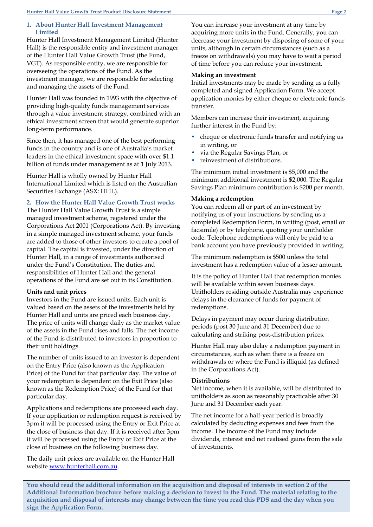## **1. About Hunter Hall Investment Management Limited**

Hunter Hall Investment Management Limited (Hunter Hall) is the responsible entity and investment manager of the Hunter Hall Value Growth Trust (the Fund, VGT). As responsible entity, we are responsible for overseeing the operations of the Fund. As the investment manager, we are responsible for selecting and managing the assets of the Fund.

Hunter Hall was founded in 1993 with the objective of providing high-quality funds management services through a value investment strategy, combined with an ethical investment screen that would generate superior long-term performance.

Since then, it has managed one of the best performing funds in the country and is one of Australia's market leaders in the ethical investment space with over \$1.1 billion of funds under management as at 1 July 2013.

Hunter Hall is wholly owned by Hunter Hall International Limited which is listed on the Australian Securities Exchange (ASX: HHL).

# **2. How the Hunter Hall Value Growth Trust works**

The Hunter Hall Value Growth Trust is a simple managed investment scheme, registered under the Corporations Act 2001 (Corporations Act). By investing in a simple managed investment scheme, your funds are added to those of other investors to create a pool of capital. The capital is invested, under the direction of Hunter Hall, in a range of investments authorised under the Fund's Constitution. The duties and responsibilities of Hunter Hall and the general operations of the Fund are set out in its Constitution.

# **Units and unit prices**

Investors in the Fund are issued units. Each unit is valued based on the assets of the investments held by Hunter Hall and units are priced each business day. The price of units will change daily as the market value of the assets in the Fund rises and falls. The net income of the Fund is distributed to investors in proportion to their unit holdings.

The number of units issued to an investor is dependent on the Entry Price (also known as the Application Price) of the Fund for that particular day. The value of your redemption is dependent on the Exit Price (also known as the Redemption Price) of the Fund for that particular day.

Applications and redemptions are processed each day. If your application or redemption request is received by 3pm it will be processed using the Entry or Exit Price at the close of business that day. If it is received after 3pm it will be processed using the Entry or Exit Price at the close of business on the following business day.

The daily unit prices are available on the Hunter Hall website [www.hunterhall.com.au.](http://www.hunterhall.com.au/)

You can increase your investment at any time by acquiring more units in the Fund. Generally, you can decrease your investment by disposing of some of your units, although in certain circumstances (such as a freeze on withdrawals) you may have to wait a period of time before you can reduce your investment.

## **Making an investment**

Initial investments may be made by sending us a fully completed and signed Application Form. We accept application monies by either cheque or electronic funds transfer.

Members can increase their investment, acquiring further interest in the Fund by:

- cheque or electronic funds transfer and notifying us in writing, or
- via the Regular Savings Plan, or
- reinvestment of distributions.

The minimum initial investment is \$5,000 and the minimum additional investment is \$2,000. The Regular Savings Plan minimum contribution is \$200 per month.

## **Making a redemption**

You can redeem all or part of an investment by notifying us of your instructions by sending us a completed Redemption Form, in writing (post, email or facsimile) or by telephone, quoting your unitholder code. Telephone redemptions will only be paid to a bank account you have previously provided in writing.

The minimum redemption is \$500 unless the total investment has a redemption value of a lesser amount.

It is the policy of Hunter Hall that redemption monies will be available within seven business days. Unitholders residing outside Australia may experience delays in the clearance of funds for payment of redemptions.

Delays in payment may occur during distribution periods (post 30 June and 31 December) due to calculating and striking post-distribution prices.

Hunter Hall may also delay a redemption payment in circumstances, such as when there is a freeze on withdrawals or where the Fund is illiquid (as defined in the Corporations Act).

## **Distributions**

Net income, when it is available, will be distributed to unitholders as soon as reasonably practicable after 30 June and 31 December each year.

The net income for a half-year period is broadly calculated by deducting expenses and fees from the income. The income of the Fund may include dividends, interest and net realised gains from the sale of investments.

**You should read the additional information on the acquisition and disposal of interests in section 2 of the Additional Information brochure before making a decision to invest in the Fund. The material relating to the acquisition and disposal of interests may change between the time you read this PDS and the day when you sign the Application Form.**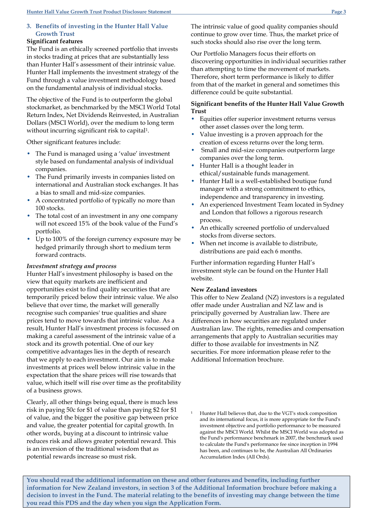# **3. Benefits of investing in the Hunter Hall Value Growth Trust**

# **Significant features**

The Fund is an ethically screened portfolio that invests in stocks trading at prices that are substantially less than Hunter Hall's assessment of their intrinsic value. Hunter Hall implements the investment strategy of the Fund through a value investment methodology based on the fundamental analysis of individual stocks.

The objective of the Fund is to outperform the global stockmarket, as benchmarked by the MSCI World Total Return Index, Net Dividends Reinvested, in Australian Dollars (MSCI World), over the medium to long term without incurring significant risk to capital<sup>1</sup>.

Other significant features include:

- The Fund is managed using a 'value' investment style based on fundamental analysis of individual companies.
- The Fund primarily invests in companies listed on international and Australian stock exchanges. It has a bias to small and mid-size companies.
- A concentrated portfolio of typically no more than 100 stocks.
- The total cost of an investment in any one company will not exceed 15% of the book value of the Fund's portfolio.
- Up to 100% of the foreign currency exposure may be hedged primarily through short to medium term forward contracts.

# *Investment strategy and process*

Hunter Hall's investment philosophy is based on the view that equity markets are inefficient and opportunities exist to find quality securities that are temporarily priced below their intrinsic value. We also believe that over time, the market will generally recognise such companies' true qualities and share prices tend to move towards that intrinsic value. As a result, Hunter Hall's investment process is focussed on making a careful assessment of the intrinsic value of a stock and its growth potential. One of our key competitive advantages lies in the depth of research that we apply to each investment. Our aim is to make investments at prices well below intrinsic value in the expectation that the share prices will rise towards that value, which itself will rise over time as the profitability of a business grows.

Clearly, all other things being equal, there is much less risk in paying 50c for \$1 of value than paying \$2 for \$1 of value, and the bigger the positive gap between price and value, the greater potential for capital growth. In other words, buying at a discount to intrinsic value reduces risk and allows greater potential reward. This is an inversion of the traditional wisdom that as potential rewards increase so must risk.

The intrinsic value of good quality companies should continue to grow over time. Thus, the market price of such stocks should also rise over the long term.

Our Portfolio Managers focus their efforts on discovering opportunities in individual securities rather than attempting to time the movement of markets. Therefore, short term performance is likely to differ from that of the market in general and sometimes this difference could be quite substantial.

# **Significant benefits of the Hunter Hall Value Growth Trust**

- Equities offer superior investment returns versus other asset classes over the long term.
- Value investing is a proven approach for the creation of excess returns over the long term.
- Small and mid-size companies outperform large companies over the long term.
- Hunter Hall is a thought leader in ethical/sustainable funds management.
- Hunter Hall is a well-established boutique fund manager with a strong commitment to ethics, independence and transparency in investing.
- An experienced Investment Team located in Sydney and London that follows a rigorous research process.
- An ethically screened portfolio of undervalued stocks from diverse sectors.
- When net income is available to distribute, distributions are paid each 6 months.

Further information regarding Hunter Hall's investment style can be found on the Hunter Hall website.

# **New Zealand investors**

This offer to New Zealand (NZ) investors is a regulated offer made under Australian and NZ law and is principally governed by Australian law. There are differences in how securities are regulated under Australian law. The rights, remedies and compensation arrangements that apply to Australian securities may differ to those available for investments in NZ securities. For more information please refer to the Additional Information brochure.

Hunter Hall believes that, due to the VGT's stock composition and its international focus, it is more appropriate for the Fund's investment objective and portfolio performance to be measured against the MSCI World. Whilst the MSCI World was adopted as the Fund's performance benchmark in 2007, the benchmark used to calculate the Fund's performance fee since inception in 1994 has been, and continues to be, the Australian All Ordinaries Accumulation Index (All Ords).

**You should read the additional information on these and other features and benefits, including further information for New Zealand investors, in section 3 of the Additional Information brochure before making a decision to invest in the Fund. The material relating to the benefits of investing may change between the time you read this PDS and the day when you sign the Application Form.**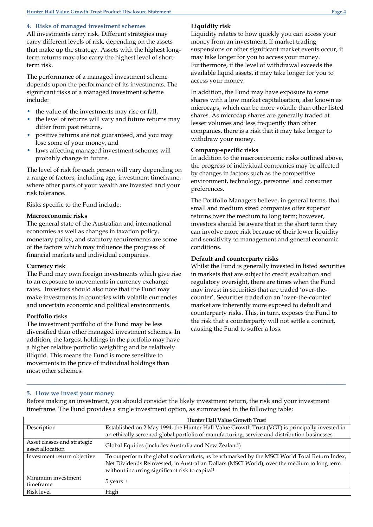### **4***.* **Risks of managed investment schemes**

All investments carry risk. Different strategies may carry different levels of risk, depending on the assets that make up the strategy. Assets with the highest longterm returns may also carry the highest level of shortterm risk.

The performance of a managed investment scheme depends upon the performance of its investments. The significant risks of a managed investment scheme include:

- the value of the investments may rise or fall,
- the level of returns will vary and future returns may differ from past returns,
- positive returns are not guaranteed, and you may lose some of your money, and
- laws affecting managed investment schemes will probably change in future.

The level of risk for each person will vary depending on a range of factors, including age, investment timeframe, where other parts of your wealth are invested and your risk tolerance.

## Risks specific to the Fund include:

### **Macroeconomic risks**

The general state of the Australian and international economies as well as changes in taxation policy, monetary policy, and statutory requirements are some of the factors which may influence the progress of financial markets and individual companies.

#### **Currency risk**

The Fund may own foreign investments which give rise to an exposure to movements in currency exchange rates. Investors should also note that the Fund may make investments in countries with volatile currencies and uncertain economic and political environments.

#### **Portfolio risks**

The investment portfolio of the Fund may be less diversified than other managed investment schemes. In addition, the largest holdings in the portfolio may have a higher relative portfolio weighting and be relatively illiquid. This means the Fund is more sensitive to movements in the price of individual holdings than most other schemes.

## **Liquidity risk**

Liquidity relates to how quickly you can access your money from an investment. If market trading suspensions or other significant market events occur, it may take longer for you to access your money. Furthermore, if the level of withdrawal exceeds the available liquid assets, it may take longer for you to access your money.

In addition, the Fund may have exposure to some shares with a low market capitalisation, also known as microcaps, which can be more volatile than other listed shares. As microcap shares are generally traded at lesser volumes and less frequently than other companies, there is a risk that it may take longer to withdraw your money.

### **Company-specific risks**

In addition to the macroeconomic risks outlined above, the progress of individual companies may be affected by changes in factors such as the competitive environment, technology, personnel and consumer preferences.

The Portfolio Managers believe, in general terms, that small and medium sized companies offer superior returns over the medium to long term; however, investors should be aware that in the short term they can involve more risk because of their lower liquidity and sensitivity to management and general economic conditions.

### **Default and counterparty risks**

Whilst the Fund is generally invested in listed securities in markets that are subject to credit evaluation and regulatory oversight, there are times when the Fund may invest in securities that are traded 'over-thecounter'. Securities traded on an 'over-the-counter' market are inherently more exposed to default and counterparty risks. This, in turn, exposes the Fund to the risk that a counterparty will not settle a contract, causing the Fund to suffer a loss.

#### **5. How we invest your money**

Before making an investment, you should consider the likely investment return, the risk and your investment timeframe. The Fund provides a single investment option, as summarised in the following table:

**\_\_\_\_\_\_\_\_\_\_\_\_\_\_\_\_\_\_\_\_\_\_\_\_\_\_\_\_\_\_\_\_\_\_\_\_\_\_\_\_\_\_\_\_\_\_\_\_\_\_\_\_\_\_\_\_\_\_\_\_\_\_\_\_\_\_\_\_\_\_\_\_\_\_\_\_\_\_\_\_\_\_\_\_\_\_\_\_\_\_\_\_\_\_\_\_\_\_\_\_\_\_**

|                                                 | <b>Hunter Hall Value Growth Trust</b>                                                          |
|-------------------------------------------------|------------------------------------------------------------------------------------------------|
| Description                                     | Established on 2 May 1994, the Hunter Hall Value Growth Trust (VGT) is principally invested in |
|                                                 | an ethically screened global portfolio of manufacturing, service and distribution businesses   |
| Asset classes and strategic<br>asset allocation | Global Equities (includes Australia and New Zealand)                                           |
| Investment return objective                     | To outperform the global stockmarkets, as benchmarked by the MSCI World Total Return Index,    |
|                                                 | Net Dividends Reinvested, in Australian Dollars (MSCI World), over the medium to long term     |
|                                                 | without incurring significant risk to capital <sup>1</sup>                                     |
| Minimum investment                              | $5$ years $+$                                                                                  |
| timeframe                                       |                                                                                                |
| Risk level                                      | High                                                                                           |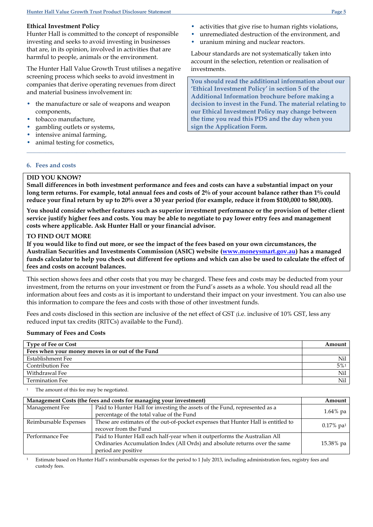## **Ethical Investment Policy**

Hunter Hall is committed to the concept of responsible investing and seeks to avoid investing in businesses that are, in its opinion, involved in activities that are harmful to people, animals or the environment.

The Hunter Hall Value Growth Trust utilises a negative screening process which seeks to avoid investment in companies that derive operating revenues from direct and material business involvement in:

- the manufacture or sale of weapons and weapon components,
- tobacco manufacture,
- gambling outlets or systems,
- intensive animal farming,
- animal testing for cosmetics,
- activities that give rise to human rights violations,
- unremediated destruction of the environment, and
- uranium mining and nuclear reactors.

Labour standards are not systematically taken into account in the selection, retention or realisation of investments.

**You should read the additional information about our 'Ethical Investment Policy' in section 5 of the Additional Information brochure before making a decision to invest in the Fund. The material relating to our Ethical Investment Policy may change between the time you read this PDS and the day when you sign the Application Form.**

### **6. Fees and costs**

## **DID YOU KNOW?**

**Small differences in both investment performance and fees and costs can have a substantial impact on your long term returns. For example, total annual fees and costs of 2% of your account balance rather than 1% could reduce your final return by up to 20% over a 30 year period (for example, reduce it from \$100,000 to \$80,000).**

**\_\_\_\_\_\_\_\_\_\_\_\_\_\_\_\_\_\_\_\_\_\_\_\_\_\_\_\_\_\_\_\_\_\_\_\_\_\_\_\_\_\_\_\_\_\_\_\_\_\_\_\_\_\_\_\_\_\_\_\_\_\_\_\_\_\_\_\_\_\_\_\_\_\_\_\_\_\_\_\_\_\_\_\_\_\_\_\_\_\_\_\_\_\_\_\_\_\_\_\_\_\_**

**You should consider whether features such as superior investment performance or the provision of better client service justify higher fees and costs. You may be able to negotiate to pay lower entry fees and management costs where applicable. Ask Hunter Hall or your financial advisor.**

## **TO FIND OUT MORE**

**If you would like to find out more, or see the impact of the fees based on your own circumstances, the Australian Securities and Investments Commission (ASIC) website [\(www.moneysmart.gov.au\)](http://www.moneysmart.gov.au/) has a managed funds calculator to help you check out different fee options and which can also be used to calculate the effect of fees and costs on account balances.**

This section shows fees and other costs that you may be charged. These fees and costs may be deducted from your investment, from the returns on your investment or from the Fund's assets as a whole. You should read all the information about fees and costs as it is important to understand their impact on your investment. You can also use this information to compare the fees and costs with those of other investment funds.

Fees and costs disclosed in this section are inclusive of the net effect of GST (i.e. inclusive of 10% GST, less any reduced input tax credits (RITCs) available to the Fund).

## **Summary of Fees and Costs**

| <b>Type of Fee or Cost</b>                       | Amount |
|--------------------------------------------------|--------|
| Fees when your money moves in or out of the Fund |        |
| Establishment Fee                                | Nil    |
| Contribution Fee                                 | $5\%1$ |
| Withdrawal Fee                                   | Nil    |
| <b>Termination Fee</b>                           | Nil    |

#### The amount of this fee may be negotiated.

| Management Costs (the fees and costs for managing your investment) |                                                                                                                                                                                 | Amount                   |
|--------------------------------------------------------------------|---------------------------------------------------------------------------------------------------------------------------------------------------------------------------------|--------------------------|
| Management Fee                                                     | Paid to Hunter Hall for investing the assets of the Fund, represented as a<br>percentage of the total value of the Fund                                                         | $1.64\%$ pa              |
| Reimbursable Expenses                                              | These are estimates of the out-of-pocket expenses that Hunter Hall is entitled to<br>recover from the Fund                                                                      | $0.17\%$ pa <sup>1</sup> |
| Performance Fee                                                    | Paid to Hunter Hall each half-year when it outperforms the Australian All<br>Ordinaries Accumulation Index (All Ords) and absolute returns over the same<br>period are positive | 15.38% pa                |

Estimate based on Hunter Hall's reimbursable expenses for the period to 1 July 2013, including administration fees, registry fees and custody fees.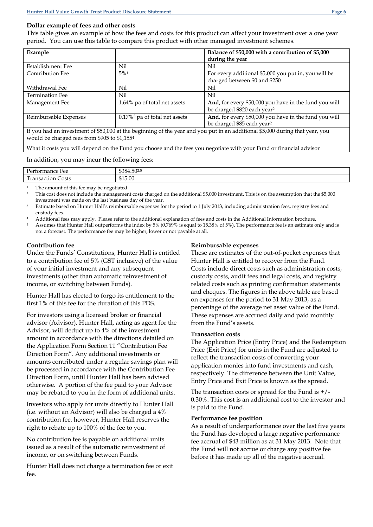## **Dollar example of fees and other costs**

This table gives an example of how the fees and costs for this product can affect your investment over a one year period. You can use this table to compare this product with other managed investment schemes.

| Example                                                                                                                      |                                              | Balance of \$50,000 with a contribution of \$5,000    |
|------------------------------------------------------------------------------------------------------------------------------|----------------------------------------------|-------------------------------------------------------|
|                                                                                                                              |                                              | during the year                                       |
| Establishment Fee                                                                                                            | Nil                                          | Nil                                                   |
| <b>Contribution Fee</b>                                                                                                      | $5\%1$                                       | For every additional \$5,000 you put in, you will be  |
|                                                                                                                              |                                              | charged between \$0 and \$250                         |
| Withdrawal Fee                                                                                                               | Nil                                          | Nil                                                   |
| <b>Termination Fee</b>                                                                                                       | Nil                                          | Nil                                                   |
| Management Fee                                                                                                               | 1.64% pa of total net assets                 | And, for every \$50,000 you have in the fund you will |
|                                                                                                                              |                                              | be charged \$820 each year <sup>2</sup>               |
| Reimbursable Expenses                                                                                                        | $0.17\%$ <sup>3</sup> pa of total net assets | And, for every \$50,000 you have in the fund you will |
|                                                                                                                              |                                              | be charged \$85 each year <sup>2</sup>                |
| If you had an investment of \$50,000 at the beginning of the year and you put in an additional \$5,000 during that year, you |                                              |                                                       |

would be charged fees from \$905 to \$1,155<sup>4</sup>

What it costs you will depend on the Fund you choose and the fees you negotiate with your Fund or financial advisor

In addition, you may incur the following fees:

| $\mathbf{r}$<br>$\overline{\phantom{a}}$<br>mance<br>Fee | $F \cap T$<br>000<br>$1.50^{2.5}$<br>$\sim$ $\sim$ $\sim$ $\sim$ |
|----------------------------------------------------------|------------------------------------------------------------------|
| m<br>Costs<br>$-10$<br>tion<br>isat<br>⊥1d'              | \$15.00                                                          |
|                                                          |                                                                  |

<sup>1</sup> The amount of this fee may be negotiated.<br><sup>2</sup> This cost does not include the management

<sup>2</sup> This cost does not include the management costs charged on the additional \$5,000 investment. This is on the assumption that the \$5,000 investment was made on the last business day of the year.

<sup>3</sup> Estimate based on Hunter Hall's reimbursable expenses for the period to 1 July 2013, including administration fees, registry fees and custody fees.

<sup>4</sup> Additional fees may apply. Please refer to the additional explanation of fees and costs in the Additional Information brochure.

<sup>5</sup> Assumes that Hunter Hall outperforms the index by 5% (0.769% is equal to 15.38% of 5%). The performance fee is an estimate only and is not a forecast. The performance fee may be higher, lower or not payable at all.

## **Contribution fee**

Under the Funds' Constitutions, Hunter Hall is entitled to a contribution fee of 5% (GST inclusive) of the value of your initial investment and any subsequent investments (other than automatic reinvestment of income, or switching between Funds).

Hunter Hall has elected to forgo its entitlement to the first 1% of this fee for the duration of this PDS.

For investors using a licensed broker or financial advisor (Advisor), Hunter Hall, acting as agent for the Advisor, will deduct up to 4% of the investment amount in accordance with the directions detailed on the Application Form Section 11 "Contribution Fee Direction Form". Any additional investments or amounts contributed under a regular savings plan will be processed in accordance with the Contribution Fee Direction Form, until Hunter Hall has been advised otherwise. A portion of the fee paid to your Advisor may be rebated to you in the form of additional units.

Investors who apply for units directly to Hunter Hall (i.e. without an Advisor) will also be charged a 4% contribution fee, however, Hunter Hall reserves the right to rebate up to 100% of the fee to you.

No contribution fee is payable on additional units issued as a result of the automatic reinvestment of income, or on switching between Funds.

Hunter Hall does not charge a termination fee or exit fee.

## **Reimbursable expenses**

These are estimates of the out-of-pocket expenses that Hunter Hall is entitled to recover from the Fund. Costs include direct costs such as administration costs, custody costs, audit fees and legal costs, and registry related costs such as printing confirmation statements and cheques. The figures in the above table are based on expenses for the period to 31 May 2013, as a percentage of the average net asset value of the Fund. These expenses are accrued daily and paid monthly from the Fund's assets.

## **Transaction costs**

The Application Price (Entry Price) and the Redemption Price (Exit Price) for units in the Fund are adjusted to reflect the transaction costs of converting your application monies into fund investments and cash, respectively. The difference between the Unit Value, Entry Price and Exit Price is known as the spread.

The transaction costs or spread for the Fund is  $+$ /-0.30%. This cost is an additional cost to the investor and is paid to the Fund.

## **Performance fee position**

As a result of underperformance over the last five years the Fund has developed a large negative performance fee accrual of \$43 million as at 31 May 2013. Note that the Fund will not accrue or charge any positive fee before it has made up all of the negative accrual.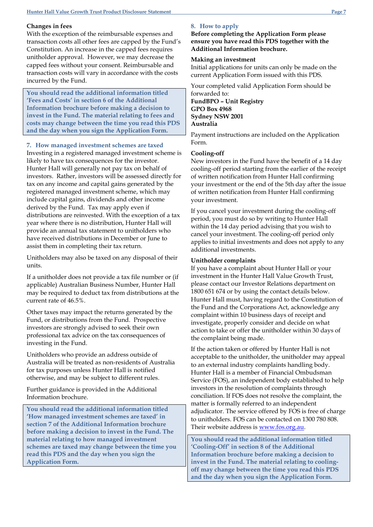### **Changes in fees**

With the exception of the reimbursable expenses and transaction costs all other fees are capped by the Fund's Constitution. An increase in the capped fees requires unitholder approval. However, we may decrease the capped fees without your consent. Reimbursable and transaction costs will vary in accordance with the costs incurred by the Fund.

**You should read the additional information titled 'Fees and Costs' in section 6 of the Additional Information brochure before making a decision to invest in the Fund. The material relating to fees and costs may change between the time you read this PDS and the day when you sign the Application Form.**

## **7. How managed investment schemes are taxed**

Investing in a registered managed investment scheme is likely to have tax consequences for the investor. Hunter Hall will generally not pay tax on behalf of investors. Rather, investors will be assessed directly for tax on any income and capital gains generated by the registered managed investment scheme, which may include capital gains, dividends and other income derived by the Fund. Tax may apply even if distributions are reinvested. With the exception of a tax year where there is no distribution, Hunter Hall will provide an annual tax statement to unitholders who have received distributions in December or June to assist them in completing their tax return.

Unitholders may also be taxed on any disposal of their units.

If a unitholder does not provide a tax file number or (if applicable) Australian Business Number, Hunter Hall may be required to deduct tax from distributions at the current rate of 46.5%.

Other taxes may impact the returns generated by the Fund, or distributions from the Fund. Prospective investors are strongly advised to seek their own professional tax advice on the tax consequences of investing in the Fund.

Unitholders who provide an address outside of Australia will be treated as non-residents of Australia for tax purposes unless Hunter Hall is notified otherwise, and may be subject to different rules.

Further guidance is provided in the Additional Information brochure.

**You should read the additional information titled 'How managed investment schemes are taxed' in section 7 of the Additional Information brochure before making a decision to invest in the Fund. The material relating to how managed investment schemes are taxed may change between the time you read this PDS and the day when you sign the Application Form.**

### **8. How to apply**

## **Before completing the Application Form please ensure you have read this PDS together with the Additional Information brochure.**

#### **Making an investment**

Initial applications for units can only be made on the current Application Form issued with this PDS.

Your completed valid Application Form should be forwarded to:

**FundBPO – Unit Registry GPO Box 4968 Sydney NSW 2001 Australia**

Payment instructions are included on the Application Form.

### **Cooling-off**

New investors in the Fund have the benefit of a 14 day cooling-off period starting from the earlier of the receipt of written notification from Hunter Hall confirming your investment or the end of the 5th day after the issue of written notification from Hunter Hall confirming your investment.

If you cancel your investment during the cooling-off period, you must do so by writing to Hunter Hall within the 14 day period advising that you wish to cancel your investment. The cooling-off period only applies to initial investments and does not apply to any additional investments.

#### **Unitholder complaints**

If you have a complaint about Hunter Hall or your investment in the Hunter Hall Value Growth Trust, please contact our Investor Relations department on 1800 651 674 or by using the contact details below. Hunter Hall must, having regard to the Constitution of the Fund and the Corporations Act, acknowledge any complaint within 10 business days of receipt and investigate, properly consider and decide on what action to take or offer the unitholder within 30 days of the complaint being made.

If the action taken or offered by Hunter Hall is not acceptable to the unitholder, the unitholder may appeal to an external industry complaints handling body. Hunter Hall is a member of Financial Ombudsman Service (FOS), an independent body established to help investors in the resolution of complaints through conciliation. If FOS does not resolve the complaint, the matter is formally referred to an independent adjudicator. The service offered by FOS is free of charge to unitholders. FOS can be contacted on 1300 780 808. Their website address is [www.fos.org.au.](http://www.fos.org.au/)

**You should read the additional information titled 'Cooling-Off' in section 8 of the Additional Information brochure before making a decision to invest in the Fund. The material relating to coolingoff may change between the time you read this PDS and the day when you sign the Application Form.**